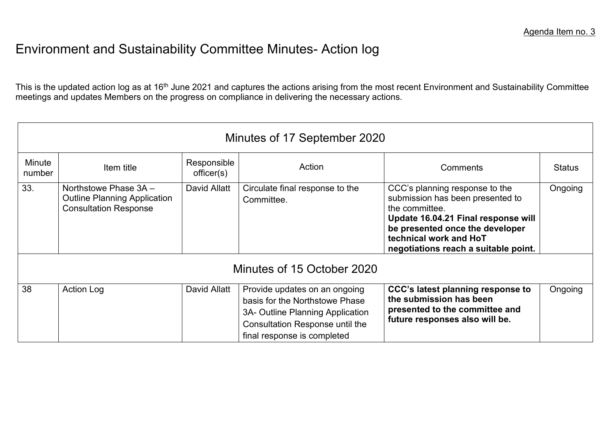## Environment and Sustainability Committee Minutes- Action log

This is the updated action log as at 16<sup>th</sup> June 2021 and captures the actions arising from the most recent Environment and Sustainability Committee meetings and updates Members on the progress on compliance in delivering the necessary actions.

| Minutes of 17 September 2020 |                                                                                              |                          |                                                                                                                                                                              |                                                                                                                                                                                                                                  |               |  |  |  |  |
|------------------------------|----------------------------------------------------------------------------------------------|--------------------------|------------------------------------------------------------------------------------------------------------------------------------------------------------------------------|----------------------------------------------------------------------------------------------------------------------------------------------------------------------------------------------------------------------------------|---------------|--|--|--|--|
| Minute<br>number             | Item title                                                                                   | Responsible<br>offset(s) | Action                                                                                                                                                                       | Comments                                                                                                                                                                                                                         | <b>Status</b> |  |  |  |  |
| 33.                          | Northstowe Phase 3A -<br><b>Outline Planning Application</b><br><b>Consultation Response</b> | David Allatt             | Circulate final response to the<br>Committee.                                                                                                                                | CCC's planning response to the<br>submission has been presented to<br>the committee.<br>Update 16.04.21 Final response will<br>be presented once the developer<br>technical work and HoT<br>negotiations reach a suitable point. | Ongoing       |  |  |  |  |
| Minutes of 15 October 2020   |                                                                                              |                          |                                                                                                                                                                              |                                                                                                                                                                                                                                  |               |  |  |  |  |
| 38                           | <b>Action Log</b>                                                                            | David Allatt             | Provide updates on an ongoing<br>basis for the Northstowe Phase<br>3A- Outline Planning Application<br><b>Consultation Response until the</b><br>final response is completed | CCC's latest planning response to<br>the submission has been<br>presented to the committee and<br>future responses also will be.                                                                                                 | Ongoing       |  |  |  |  |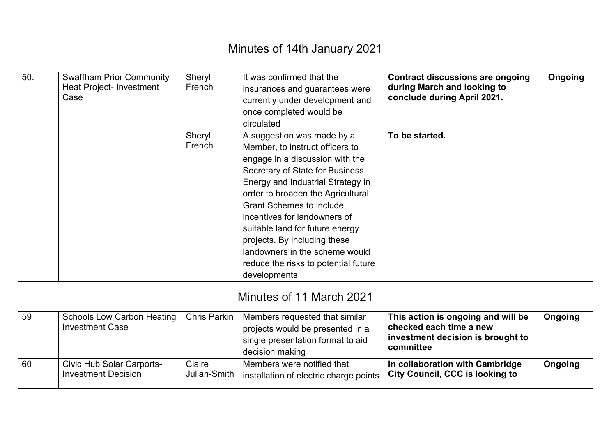| Minutes of 14th January 2021 |                                                                            |                        |                                                                                                                                                                                                                                                                                                                                                                                                                                                |                                                                                                                 |         |  |  |
|------------------------------|----------------------------------------------------------------------------|------------------------|------------------------------------------------------------------------------------------------------------------------------------------------------------------------------------------------------------------------------------------------------------------------------------------------------------------------------------------------------------------------------------------------------------------------------------------------|-----------------------------------------------------------------------------------------------------------------|---------|--|--|
| 50.                          | <b>Swaffham Prior Community</b><br><b>Heat Project- Investment</b><br>Case | Sheryl<br>French       | It was confirmed that the<br>insurances and guarantees were<br>currently under development and<br>once completed would be<br>circulated                                                                                                                                                                                                                                                                                                        | <b>Contract discussions are ongoing</b><br>during March and looking to<br>conclude during April 2021.           | Ongoing |  |  |
|                              |                                                                            | Sheryl<br>French       | A suggestion was made by a<br>Member, to instruct officers to<br>engage in a discussion with the<br>Secretary of State for Business,<br>Energy and Industrial Strategy in<br>order to broaden the Agricultural<br><b>Grant Schemes to include</b><br>incentives for landowners of<br>suitable land for future energy<br>projects. By including these<br>landowners in the scheme would<br>reduce the risks to potential future<br>developments | To be started.                                                                                                  |         |  |  |
| Minutes of 11 March 2021     |                                                                            |                        |                                                                                                                                                                                                                                                                                                                                                                                                                                                |                                                                                                                 |         |  |  |
| 59                           | <b>Schools Low Carbon Heating</b><br><b>Investment Case</b>                | <b>Chris Parkin</b>    | Members requested that similar<br>projects would be presented in a<br>single presentation format to aid<br>decision making                                                                                                                                                                                                                                                                                                                     | This action is ongoing and will be<br>checked each time a new<br>investment decision is brought to<br>committee | Ongoing |  |  |
| 60                           | <b>Civic Hub Solar Carports-</b><br><b>Investment Decision</b>             | Claire<br>Julian-Smith | Members were notified that<br>installation of electric charge points                                                                                                                                                                                                                                                                                                                                                                           | In collaboration with Cambridge<br><b>City Council, CCC is looking to</b>                                       | Ongoing |  |  |